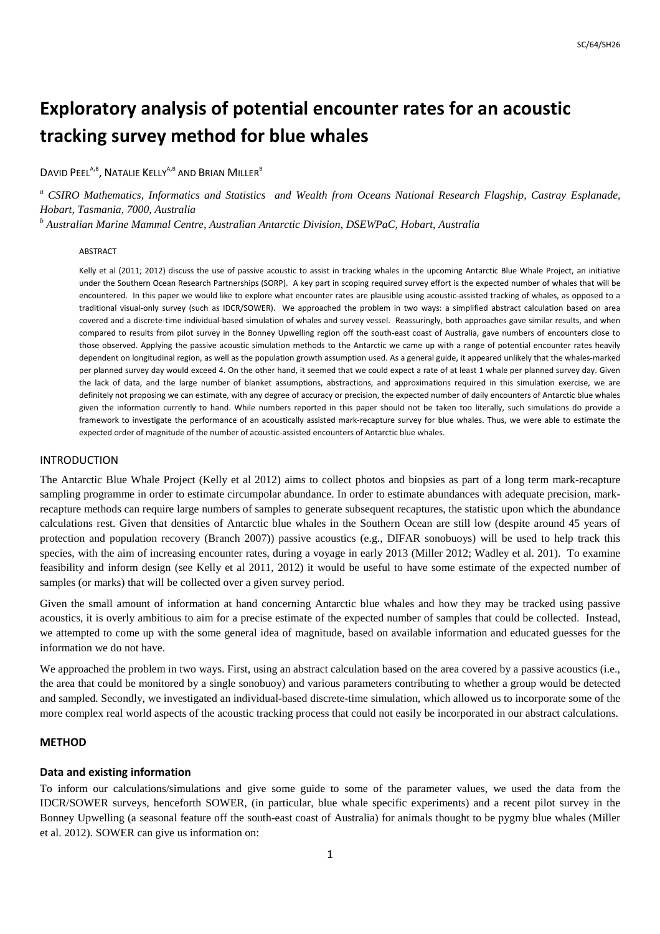# **Exploratory analysis of potential encounter rates for an acoustic tracking survey method for blue whales**

DAVID PEEL<sup>A,B</sup>, NATALIE KELLY<sup>A,B</sup> AND BRIAN MILLER<sup>B</sup>

<sup>a</sup> CSIRO Mathematics, Informatics and Statistics and Wealth from Oceans National Research Flagship, Castray Esplanade, *Hobart, Tasmania, 7000, Australia* 

*b Australian Marine Mammal Centre, Australian Antarctic Division, DSEWPaC, Hobart, Australia* 

#### ABSTRACT

Kelly et al (2011; 2012) discuss the use of passive acoustic to assist in tracking whales in the upcoming Antarctic Blue Whale Project, an initiative under the Southern Ocean Research Partnerships (SORP). A key part in scoping required survey effort is the expected number of whales that will be encountered. In this paper we would like to explore what encounter rates are plausible using acoustic-assisted tracking of whales, as opposed to a traditional visual-only survey (such as IDCR/SOWER). We approached the problem in two ways: a simplified abstract calculation based on area covered and a discrete-time individual-based simulation of whales and survey vessel. Reassuringly, both approaches gave similar results, and when compared to results from pilot survey in the Bonney Upwelling region off the south-east coast of Australia, gave numbers of encounters close to those observed. Applying the passive acoustic simulation methods to the Antarctic we came up with a range of potential encounter rates heavily dependent on longitudinal region, as well as the population growth assumption used. As a general guide, it appeared unlikely that the whales-marked per planned survey day would exceed 4. On the other hand, it seemed that we could expect a rate of at least 1 whale per planned survey day. Given the lack of data, and the large number of blanket assumptions, abstractions, and approximations required in this simulation exercise, we are definitely not proposing we can estimate, with any degree of accuracy or precision, the expected number of daily encounters of Antarctic blue whales given the information currently to hand. While numbers reported in this paper should not be taken too literally, such simulations do provide a framework to investigate the performance of an acoustically assisted mark-recapture survey for blue whales. Thus, we were able to estimate the expected order of magnitude of the number of acoustic-assisted encounters of Antarctic blue whales.

#### INTRODUCTION

The Antarctic Blue Whale Project (Kelly et al 2012) aims to collect photos and biopsies as part of a long term mark-recapture sampling programme in order to estimate circumpolar abundance. In order to estimate abundances with adequate precision, markrecapture methods can require large numbers of samples to generate subsequent recaptures, the statistic upon which the abundance calculations rest. Given that densities of Antarctic blue whales in the Southern Ocean are still low (despite around 45 years of protection and population recovery (Branch 2007)) passive acoustics (e.g., DIFAR sonobuoys) will be used to help track this species, with the aim of increasing encounter rates, during a voyage in early 2013 (Miller 2012; Wadley et al. 201). To examine feasibility and inform design (see Kelly et al 2011, 2012) it would be useful to have some estimate of the expected number of samples (or marks) that will be collected over a given survey period.

Given the small amount of information at hand concerning Antarctic blue whales and how they may be tracked using passive acoustics, it is overly ambitious to aim for a precise estimate of the expected number of samples that could be collected. Instead, we attempted to come up with the some general idea of magnitude, based on available information and educated guesses for the information we do not have.

We approached the problem in two ways. First, using an abstract calculation based on the area covered by a passive acoustics (i.e., the area that could be monitored by a single sonobuoy) and various parameters contributing to whether a group would be detected and sampled. Secondly, we investigated an individual-based discrete-time simulation, which allowed us to incorporate some of the more complex real world aspects of the acoustic tracking process that could not easily be incorporated in our abstract calculations.

## **METHOD**

#### **Data and existing information**

To inform our calculations/simulations and give some guide to some of the parameter values, we used the data from the IDCR/SOWER surveys, henceforth SOWER, (in particular, blue whale specific experiments) and a recent pilot survey in the Bonney Upwelling (a seasonal feature off the south-east coast of Australia) for animals thought to be pygmy blue whales (Miller et al. 2012). SOWER can give us information on: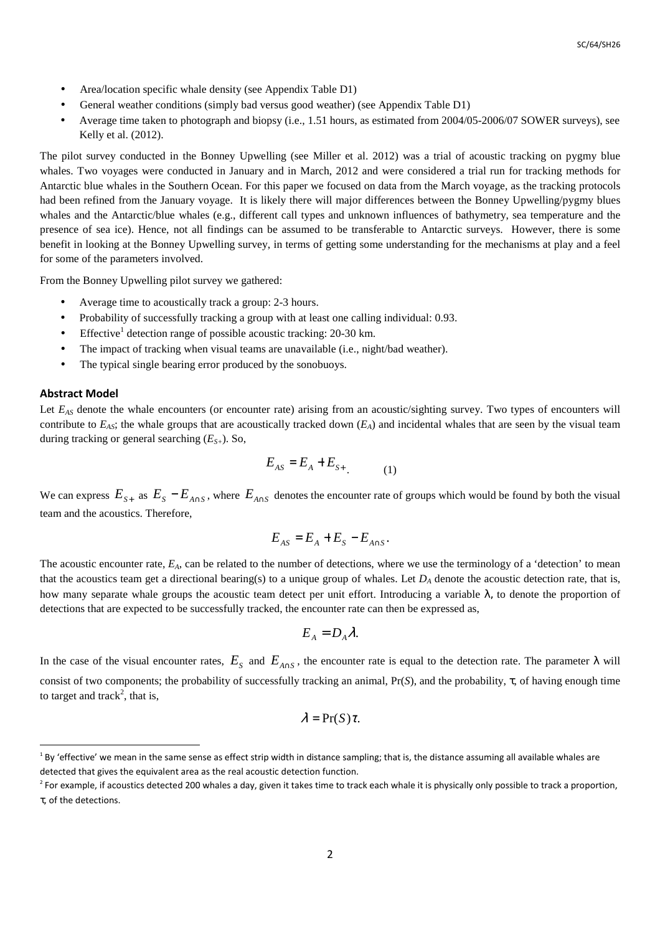- Area/location specific whale density (see Appendix Table D1)
- General weather conditions (simply bad versus good weather) (see Appendix Table D1)
- Average time taken to photograph and biopsy (i.e., 1.51 hours, as estimated from 2004/05-2006/07 SOWER surveys), see Kelly et al. (2012).

The pilot survey conducted in the Bonney Upwelling (see Miller et al. 2012) was a trial of acoustic tracking on pygmy blue whales. Two voyages were conducted in January and in March, 2012 and were considered a trial run for tracking methods for Antarctic blue whales in the Southern Ocean. For this paper we focused on data from the March voyage, as the tracking protocols had been refined from the January voyage. It is likely there will major differences between the Bonney Upwelling/pygmy blues whales and the Antarctic/blue whales (e.g., different call types and unknown influences of bathymetry, sea temperature and the presence of sea ice). Hence, not all findings can be assumed to be transferable to Antarctic surveys. However, there is some benefit in looking at the Bonney Upwelling survey, in terms of getting some understanding for the mechanisms at play and a feel for some of the parameters involved.

From the Bonney Upwelling pilot survey we gathered:

- Average time to acoustically track a group: 2-3 hours.
- Probability of successfully tracking a group with at least one calling individual: 0.93.
- Effective<sup>1</sup> detection range of possible acoustic tracking:  $20-30$  km.
- The impact of tracking when visual teams are unavailable (i.e., night/bad weather).
- The typical single bearing error produced by the sonobuoys.

#### **Abstract Model**

l

Let *E*<sub>*AS*</sub> denote the whale encounters (or encounter rate) arising from an acoustic/sighting survey. Two types of encounters will contribute to  $E_{AS}$ ; the whale groups that are acoustically tracked down  $(E_A)$  and incidental whales that are seen by the visual team during tracking or general searching (*ES+*). So,

$$
E_{AS} = E_A + E_{S+} \tag{1}
$$

We can express  $E_{s+}$  as  $E_s - E_{A \cap S}$ , where  $E_{A \cap S}$  denotes the encounter rate of groups which would be found by both the visual team and the acoustics. Therefore,

$$
E_{AS} = E_A + E_S - E_{A \cap S}.
$$

The acoustic encounter rate,  $E_A$ , can be related to the number of detections, where we use the terminology of a 'detection' to mean that the acoustics team get a directional bearing(s) to a unique group of whales. Let  $D_A$  denote the acoustic detection rate, that is, how many separate whale groups the acoustic team detect per unit effort. Introducing a variable  $\lambda$ , to denote the proportion of detections that are expected to be successfully tracked, the encounter rate can then be expressed as,

$$
E_{A}=D_{A}\lambda.
$$

In the case of the visual encounter rates,  $E_s$  and  $E_{A\cap S}$ , the encounter rate is equal to the detection rate. The parameter  $\lambda$  will consist of two components; the probability of successfully tracking an animal, Pr(*S*), and the probability, τ, of having enough time to target and track<sup>2</sup>, that is,

$$
\lambda = \Pr(S)\tau.
$$

 $1$  By 'effective' we mean in the same sense as effect strip width in distance sampling; that is, the distance assuming all available whales are detected that gives the equivalent area as the real acoustic detection function.

<sup>&</sup>lt;sup>2</sup> For example, if acoustics detected 200 whales a day, given it takes time to track each whale it is physically only possible to track a proportion, τ, of the detections.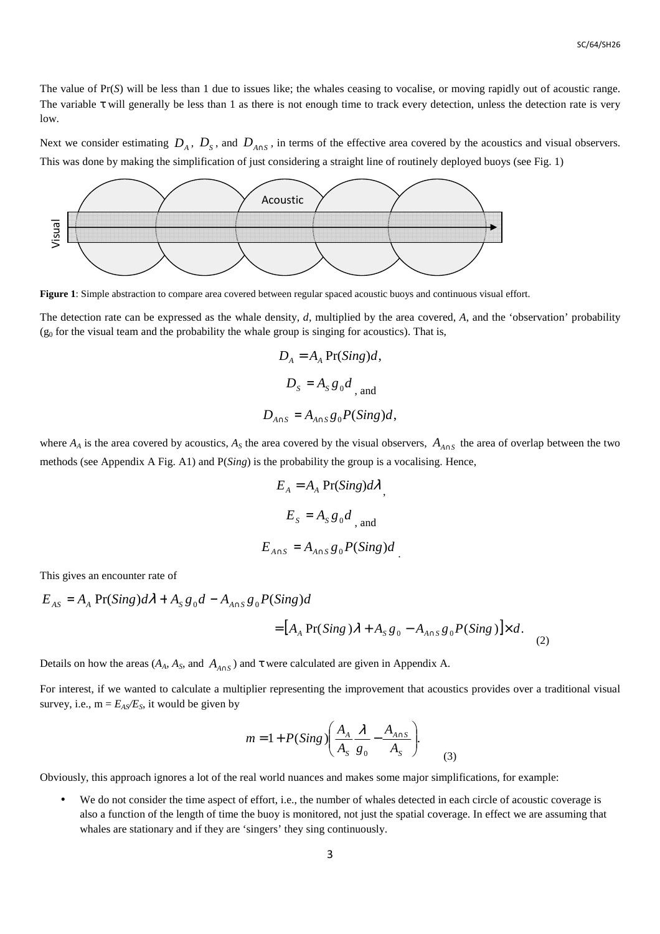The value of Pr(*S*) will be less than 1 due to issues like; the whales ceasing to vocalise, or moving rapidly out of acoustic range. The variable  $\tau$  will generally be less than 1 as there is not enough time to track every detection, unless the detection rate is very low.

Next we consider estimating  $D_A$ ,  $D_S$ , and  $D_{A \cap S}$ , in terms of the effective area covered by the acoustics and visual observers. This was done by making the simplification of just considering a straight line of routinely deployed buoys (see Fig. 1)



**Figure 1**: Simple abstraction to compare area covered between regular spaced acoustic buoys and continuous visual effort.

The detection rate can be expressed as the whale density, *d*, multiplied by the area covered, *A*, and the 'observation' probability  $(g<sub>0</sub>$  for the visual team and the probability the whale group is singing for acoustics). That is,

$$
D_A = A_A \Pr(Sing)d,
$$
  

$$
D_S = A_S g_0 d_{\text{, and}}
$$
  

$$
D_{A \cap S} = A_{A \cap S} g_0 P(Sing)d,
$$

where  $A_A$  is the area covered by acoustics,  $A_S$  the area covered by the visual observers,  $A_{A \cap S}$  the area of overlap between the two methods (see Appendix A Fig. A1) and P(*Sing*) is the probability the group is a vocalising. Hence,

$$
E_A = A_A \Pr(Sing)d\lambda
$$
  

$$
E_S = A_S g_0 d_{\text{and}}
$$
  

$$
E_{A \cap S} = A_{A \cap S} g_0 P(Sing)d
$$

This gives an encounter rate of

$$
E_{AS} = A_A \Pr(Sing)d\lambda + A_S g_0 d - A_{A \cap S} g_0 P(Sing)d
$$
  
= 
$$
[A_A \Pr(Sing)\lambda + A_S g_0 - A_{A \cap S} g_0 P(Sing)] \times d.
$$
 (2)

Details on how the areas  $(A_A, A_S, \text{ and } A_{A \cap S})$  and  $\tau$  were calculated are given in Appendix A.

For interest, if we wanted to calculate a multiplier representing the improvement that acoustics provides over a traditional visual survey, i.e.,  $m = E_{AS}/E_S$ , it would be given by

$$
m = 1 + P(Sing) \left( \frac{A_A}{A_S} \frac{\lambda}{g_0} - \frac{A_{A \cap S}}{A_S} \right).
$$
 (3)

Obviously, this approach ignores a lot of the real world nuances and makes some major simplifications, for example:

We do not consider the time aspect of effort, i.e., the number of whales detected in each circle of acoustic coverage is also a function of the length of time the buoy is monitored, not just the spatial coverage. In effect we are assuming that whales are stationary and if they are 'singers' they sing continuously.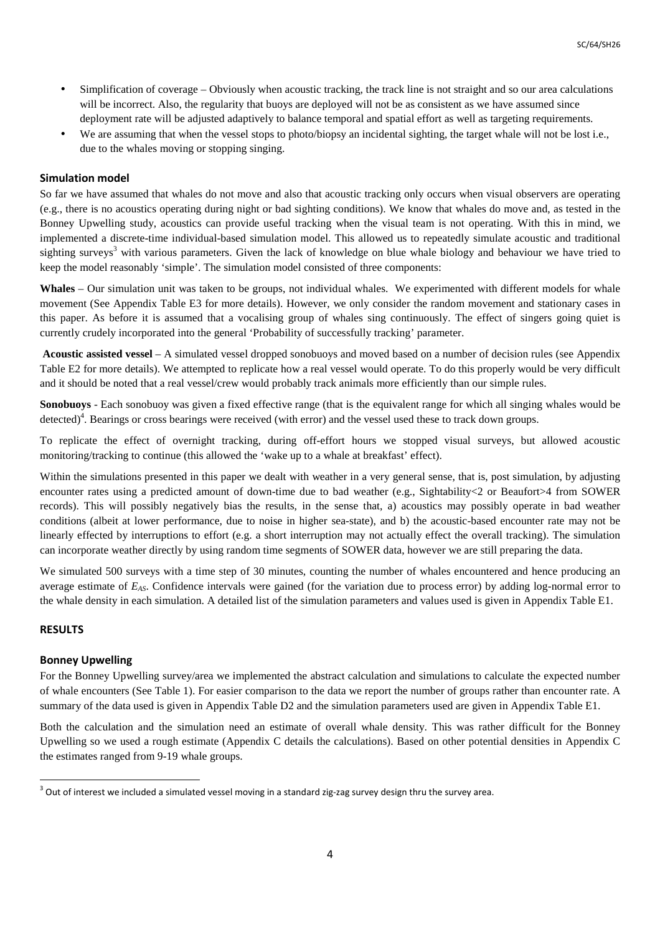- Simplification of coverage Obviously when acoustic tracking, the track line is not straight and so our area calculations will be incorrect. Also, the regularity that buoys are deployed will not be as consistent as we have assumed since deployment rate will be adjusted adaptively to balance temporal and spatial effort as well as targeting requirements.
- We are assuming that when the vessel stops to photo/biopsy an incidental sighting, the target whale will not be lost i.e., due to the whales moving or stopping singing.

# **Simulation model**

So far we have assumed that whales do not move and also that acoustic tracking only occurs when visual observers are operating (e.g., there is no acoustics operating during night or bad sighting conditions). We know that whales do move and, as tested in the Bonney Upwelling study, acoustics can provide useful tracking when the visual team is not operating. With this in mind, we implemented a discrete-time individual-based simulation model. This allowed us to repeatedly simulate acoustic and traditional sighting surveys<sup>3</sup> with various parameters. Given the lack of knowledge on blue whale biology and behaviour we have tried to keep the model reasonably 'simple'. The simulation model consisted of three components:

**Whales** – Our simulation unit was taken to be groups, not individual whales. We experimented with different models for whale movement (See Appendix Table E3 for more details). However, we only consider the random movement and stationary cases in this paper. As before it is assumed that a vocalising group of whales sing continuously. The effect of singers going quiet is currently crudely incorporated into the general 'Probability of successfully tracking' parameter.

 **Acoustic assisted vessel** – A simulated vessel dropped sonobuoys and moved based on a number of decision rules (see Appendix Table E2 for more details). We attempted to replicate how a real vessel would operate. To do this properly would be very difficult and it should be noted that a real vessel/crew would probably track animals more efficiently than our simple rules.

**Sonobuoys** - Each sonobuoy was given a fixed effective range (that is the equivalent range for which all singing whales would be detected)<sup>4</sup>. Bearings or cross bearings were received (with error) and the vessel used these to track down groups.

To replicate the effect of overnight tracking, during off-effort hours we stopped visual surveys, but allowed acoustic monitoring/tracking to continue (this allowed the 'wake up to a whale at breakfast' effect).

Within the simulations presented in this paper we dealt with weather in a very general sense, that is, post simulation, by adjusting encounter rates using a predicted amount of down-time due to bad weather (e.g., Sightability<2 or Beaufort>4 from SOWER records). This will possibly negatively bias the results, in the sense that, a) acoustics may possibly operate in bad weather conditions (albeit at lower performance, due to noise in higher sea-state), and b) the acoustic-based encounter rate may not be linearly effected by interruptions to effort (e.g. a short interruption may not actually effect the overall tracking). The simulation can incorporate weather directly by using random time segments of SOWER data, however we are still preparing the data.

We simulated 500 surveys with a time step of 30 minutes, counting the number of whales encountered and hence producing an average estimate of *EAS*. Confidence intervals were gained (for the variation due to process error) by adding log-normal error to the whale density in each simulation. A detailed list of the simulation parameters and values used is given in Appendix Table E1.

# **RESULTS**

 $\overline{a}$ 

# **Bonney Upwelling**

For the Bonney Upwelling survey/area we implemented the abstract calculation and simulations to calculate the expected number of whale encounters (See Table 1). For easier comparison to the data we report the number of groups rather than encounter rate. A summary of the data used is given in Appendix Table D2 and the simulation parameters used are given in Appendix Table E1.

Both the calculation and the simulation need an estimate of overall whale density. This was rather difficult for the Bonney Upwelling so we used a rough estimate (Appendix C details the calculations). Based on other potential densities in Appendix C the estimates ranged from 9-19 whale groups.

 $3$  Out of interest we included a simulated vessel moving in a standard zig-zag survey design thru the survey area.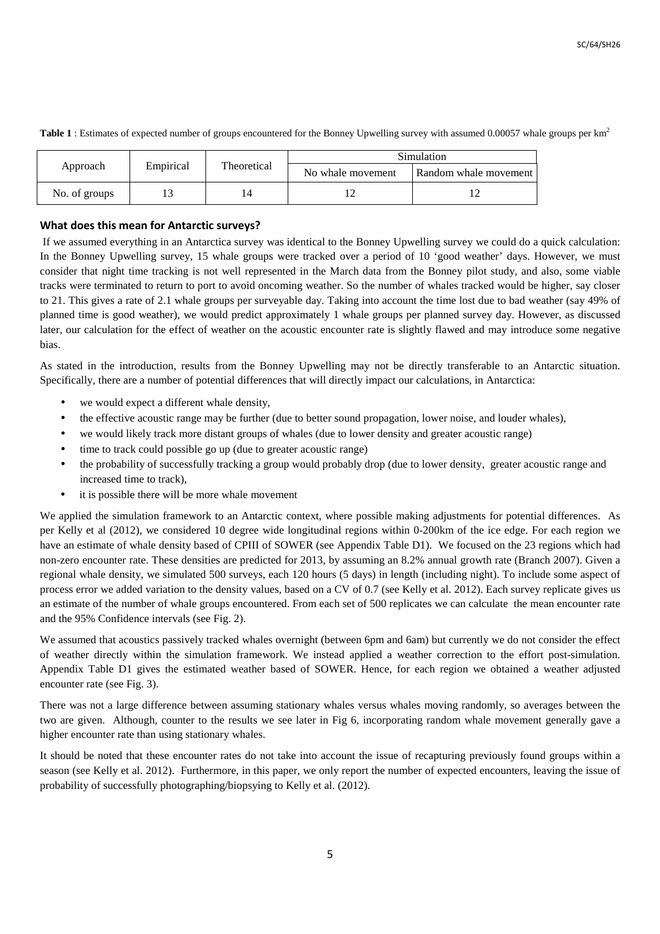| Empirical<br>Approach |  | Theoretical | Simulation        |                       |
|-----------------------|--|-------------|-------------------|-----------------------|
|                       |  |             | No whale movement | Random whale movement |
| No. of groups         |  |             |                   |                       |

**Table 1** : Estimates of expected number of groups encountered for the Bonney Upwelling survey with assumed 0.00057 whale groups per km<sup>2</sup>

# **What does this mean for Antarctic surveys?**

 If we assumed everything in an Antarctica survey was identical to the Bonney Upwelling survey we could do a quick calculation: In the Bonney Upwelling survey, 15 whale groups were tracked over a period of 10 'good weather' days. However, we must consider that night time tracking is not well represented in the March data from the Bonney pilot study, and also, some viable tracks were terminated to return to port to avoid oncoming weather. So the number of whales tracked would be higher, say closer to 21. This gives a rate of 2.1 whale groups per surveyable day. Taking into account the time lost due to bad weather (say 49% of planned time is good weather), we would predict approximately 1 whale groups per planned survey day. However, as discussed later, our calculation for the effect of weather on the acoustic encounter rate is slightly flawed and may introduce some negative bias.

As stated in the introduction, results from the Bonney Upwelling may not be directly transferable to an Antarctic situation. Specifically, there are a number of potential differences that will directly impact our calculations, in Antarctica:

- we would expect a different whale density,
- the effective acoustic range may be further (due to better sound propagation, lower noise, and louder whales),
- we would likely track more distant groups of whales (due to lower density and greater acoustic range)
- time to track could possible go up (due to greater acoustic range)
- the probability of successfully tracking a group would probably drop (due to lower density, greater acoustic range and increased time to track),
- it is possible there will be more whale movement

We applied the simulation framework to an Antarctic context, where possible making adjustments for potential differences. As per Kelly et al (2012), we considered 10 degree wide longitudinal regions within 0-200km of the ice edge. For each region we have an estimate of whale density based of CPIII of SOWER (see Appendix Table D1). We focused on the 23 regions which had non-zero encounter rate. These densities are predicted for 2013, by assuming an 8.2% annual growth rate (Branch 2007). Given a regional whale density, we simulated 500 surveys, each 120 hours (5 days) in length (including night). To include some aspect of process error we added variation to the density values, based on a CV of 0.7 (see Kelly et al. 2012). Each survey replicate gives us an estimate of the number of whale groups encountered. From each set of 500 replicates we can calculate the mean encounter rate and the 95% Confidence intervals (see Fig. 2).

We assumed that acoustics passively tracked whales overnight (between 6pm and 6am) but currently we do not consider the effect of weather directly within the simulation framework. We instead applied a weather correction to the effort post-simulation. Appendix Table D1 gives the estimated weather based of SOWER. Hence, for each region we obtained a weather adjusted encounter rate (see Fig. 3).

There was not a large difference between assuming stationary whales versus whales moving randomly, so averages between the two are given. Although, counter to the results we see later in Fig 6, incorporating random whale movement generally gave a higher encounter rate than using stationary whales.

It should be noted that these encounter rates do not take into account the issue of recapturing previously found groups within a season (see Kelly et al. 2012). Furthermore, in this paper, we only report the number of expected encounters, leaving the issue of probability of successfully photographing/biopsying to Kelly et al. (2012).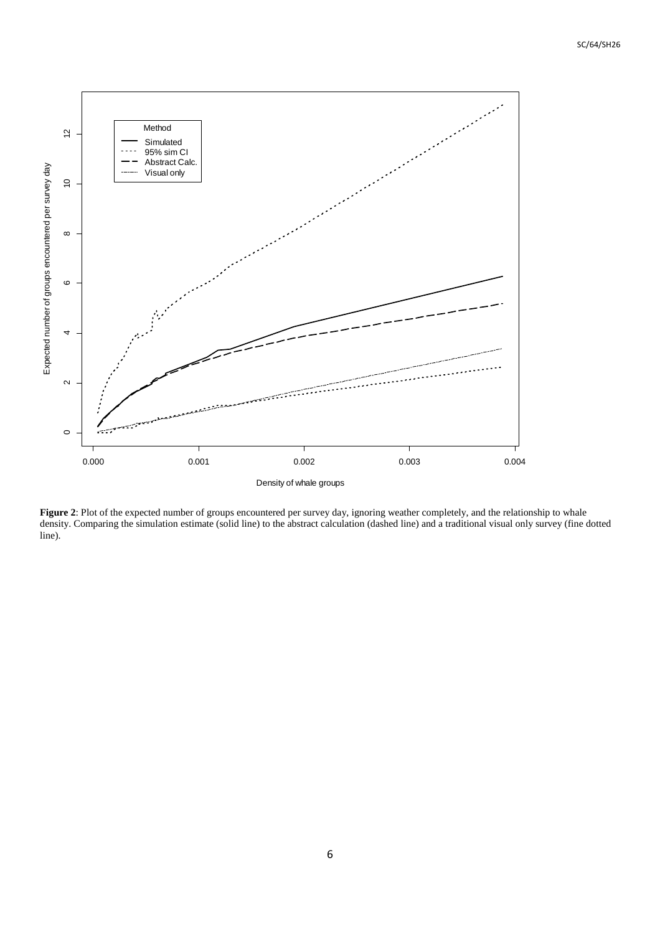

**Figure 2**: Plot of the expected number of groups encountered per survey day, ignoring weather completely, and the relationship to whale density. Comparing the simulation estimate (solid line) to the abstract calculation (dashed line) and a traditional visual only survey (fine dotted line).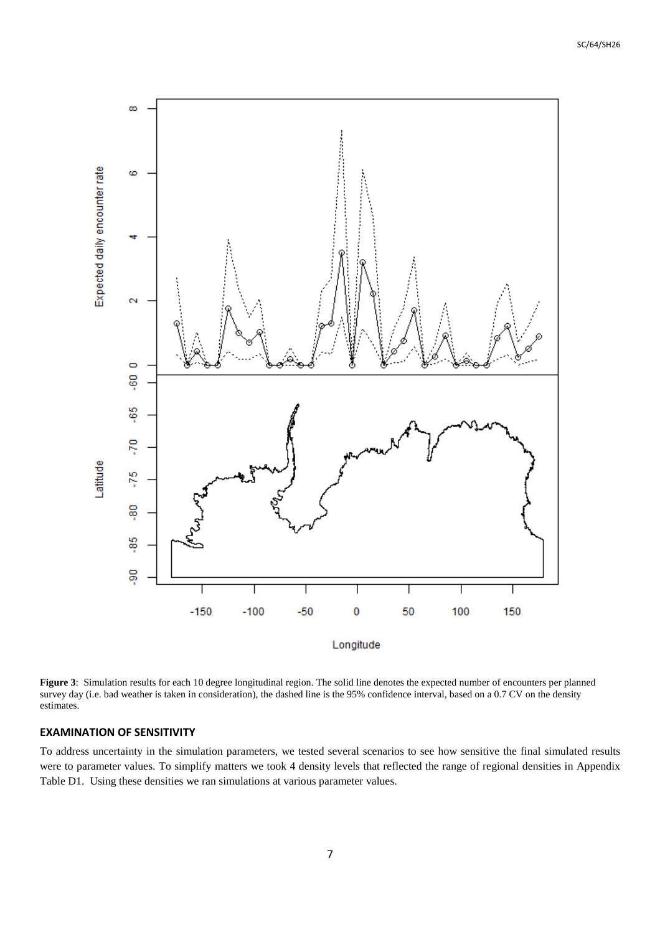

**Figure 3**: Simulation results for each 10 degree longitudinal region. The solid line denotes the expected number of encounters per planned survey day (i.e. bad weather is taken in consideration), the dashed line is the 95% confidence interval, based on a 0.7 CV on the density estimates.

#### **EXAMINATION OF SENSITIVITY**

To address uncertainty in the simulation parameters, we tested several scenarios to see how sensitive the final simulated results were to parameter values. To simplify matters we took 4 density levels that reflected the range of regional densities in Appendix Table D1. Using these densities we ran simulations at various parameter values.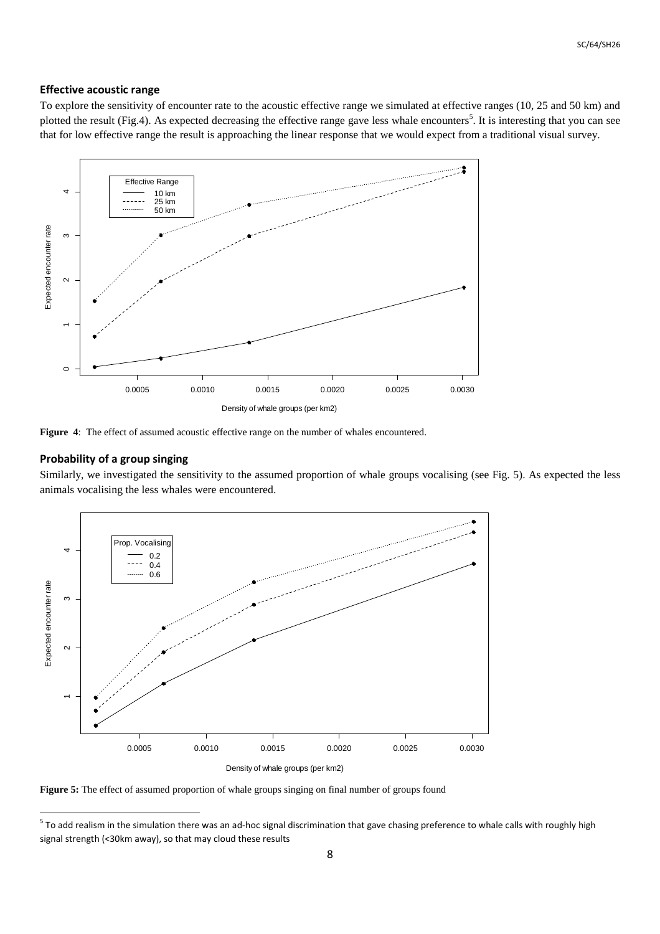## **Effective acoustic range**

To explore the sensitivity of encounter rate to the acoustic effective range we simulated at effective ranges (10, 25 and 50 km) and plotted the result (Fig.4). As expected decreasing the effective range gave less whale encounters<sup>5</sup>. It is interesting that you can see that for low effective range the result is approaching the linear response that we would expect from a traditional visual survey.



**Figure 4**: The effect of assumed acoustic effective range on the number of whales encountered.

# **Probability of a group singing**

Similarly, we investigated the sensitivity to the assumed proportion of whale groups vocalising (see Fig. 5). As expected the less animals vocalising the less whales were encountered.



**Figure 5:** The effect of assumed proportion of whale groups singing on final number of groups found

<sup>&</sup>lt;u>Fo add realism in the simulation there</u> was an ad-hoc signal discrimination that gave chasing preference to whale calls with roughly high<br><sup>5</sup> To add realism in the simulation there was an ad-hoc signal discrimination that signal strength (<30km away), so that may cloud these results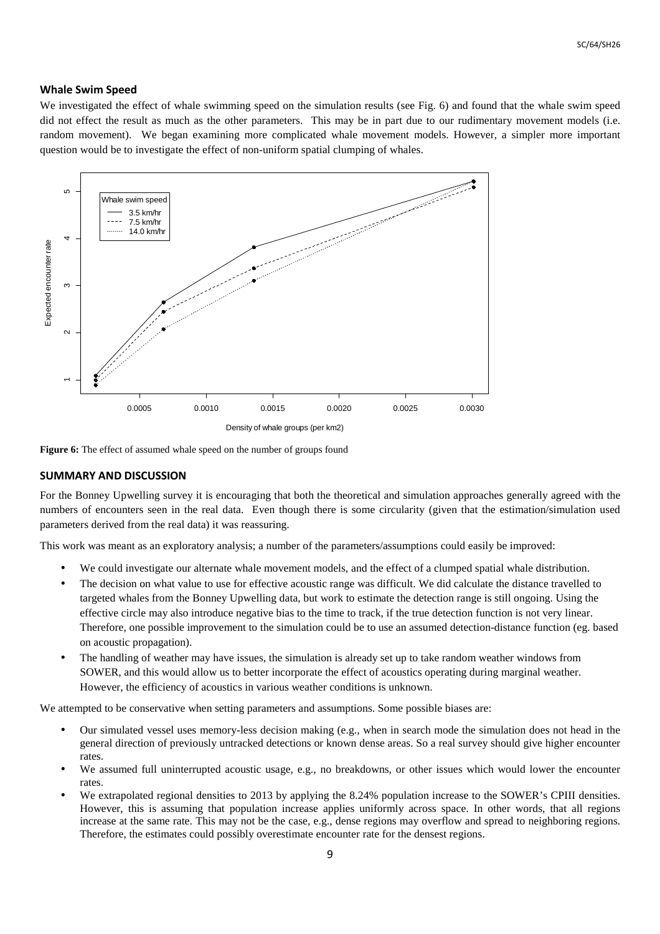### **Whale Swim Speed**

We investigated the effect of whale swimming speed on the simulation results (see Fig. 6) and found that the whale swim speed did not effect the result as much as the other parameters. This may be in part due to our rudimentary movement models (i.e. random movement). We began examining more complicated whale movement models. However, a simpler more important question would be to investigate the effect of non-uniform spatial clumping of whales.



Figure 6: The effect of assumed whale speed on the number of groups found

#### **SUMMARY AND DISCUSSION**

For the Bonney Upwelling survey it is encouraging that both the theoretical and simulation approaches generally agreed with the numbers of encounters seen in the real data. Even though there is some circularity (given that the estimation/simulation used parameters derived from the real data) it was reassuring.

This work was meant as an exploratory analysis; a number of the parameters/assumptions could easily be improved:

- We could investigate our alternate whale movement models, and the effect of a clumped spatial whale distribution.
- The decision on what value to use for effective acoustic range was difficult. We did calculate the distance travelled to targeted whales from the Bonney Upwelling data, but work to estimate the detection range is still ongoing. Using the effective circle may also introduce negative bias to the time to track, if the true detection function is not very linear. Therefore, one possible improvement to the simulation could be to use an assumed detection-distance function (eg. based on acoustic propagation).
- The handling of weather may have issues, the simulation is already set up to take random weather windows from SOWER, and this would allow us to better incorporate the effect of acoustics operating during marginal weather. However, the efficiency of acoustics in various weather conditions is unknown.

We attempted to be conservative when setting parameters and assumptions. Some possible biases are:

- Our simulated vessel uses memory-less decision making (e.g., when in search mode the simulation does not head in the general direction of previously untracked detections or known dense areas. So a real survey should give higher encounter rates.
- We assumed full uninterrupted acoustic usage, e.g., no breakdowns, or other issues which would lower the encounter rates.
- We extrapolated regional densities to 2013 by applying the 8.24% population increase to the SOWER's CPIII densities. However, this is assuming that population increase applies uniformly across space. In other words, that all regions increase at the same rate. This may not be the case, e.g., dense regions may overflow and spread to neighboring regions. Therefore, the estimates could possibly overestimate encounter rate for the densest regions.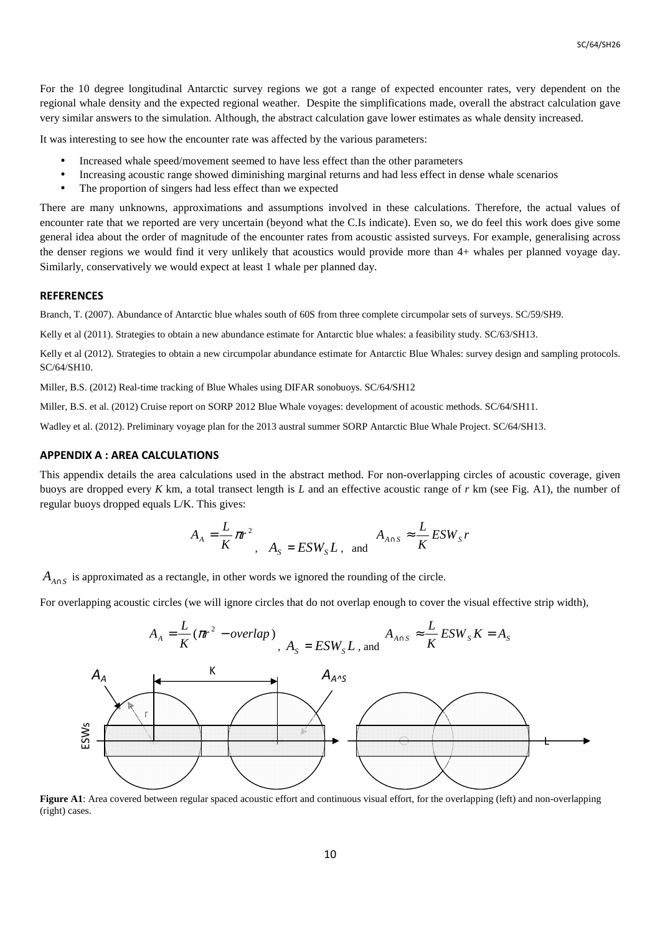For the 10 degree longitudinal Antarctic survey regions we got a range of expected encounter rates, very dependent on the regional whale density and the expected regional weather. Despite the simplifications made, overall the abstract calculation gave very similar answers to the simulation. Although, the abstract calculation gave lower estimates as whale density increased.

It was interesting to see how the encounter rate was affected by the various parameters:

- Increased whale speed/movement seemed to have less effect than the other parameters
- Increasing acoustic range showed diminishing marginal returns and had less effect in dense whale scenarios
- The proportion of singers had less effect than we expected

There are many unknowns, approximations and assumptions involved in these calculations. Therefore, the actual values of encounter rate that we reported are very uncertain (beyond what the C.Is indicate). Even so, we do feel this work does give some general idea about the order of magnitude of the encounter rates from acoustic assisted surveys. For example, generalising across the denser regions we would find it very unlikely that acoustics would provide more than 4+ whales per planned voyage day. Similarly, conservatively we would expect at least 1 whale per planned day.

#### **REFERENCES**

Branch, T. (2007). Abundance of Antarctic blue whales south of 60S from three complete circumpolar sets of surveys. SC/59/SH9.

Kelly et al (2011). Strategies to obtain a new abundance estimate for Antarctic blue whales: a feasibility study. SC/63/SH13.

Kelly et al (2012). Strategies to obtain a new circumpolar abundance estimate for Antarctic Blue Whales: survey design and sampling protocols. SC/64/SH10.

Miller, B.S. (2012) Real-time tracking of Blue Whales using DIFAR sonobuoys. SC/64/SH12

Miller, B.S. et al. (2012) Cruise report on SORP 2012 Blue Whale voyages: development of acoustic methods. SC/64/SH11.

Wadley et al. (2012). Preliminary voyage plan for the 2013 austral summer SORP Antarctic Blue Whale Project. SC/64/SH13.

#### **APPENDIX A : AREA CALCULATIONS**

This appendix details the area calculations used in the abstract method. For non-overlapping circles of acoustic coverage, given buoys are dropped every *K* km, a total transect length is *L* and an effective acoustic range of *r* km (see Fig. A1), the number of regular buoys dropped equals L/K. This gives:

$$
A_A = \frac{L}{K} \pi r^2, \quad A_S = ESW_S L, \text{ and } A_{A \cap S} \approx \frac{L}{K} ESW_S r
$$

 $A_{A \cap S}$  is approximated as a rectangle, in other words we ignored the rounding of the circle.

For overlapping acoustic circles (we will ignore circles that do not overlap enough to cover the visual effective strip width),

$$
A_A = \frac{L}{K} (\pi r^2 - overlap)
$$
,  $A_S = ESW_S L$ , and  $A_{A \cap S} \approx \frac{L}{K} ESW_S K = A_S$ 



**Figure A1**: Area covered between regular spaced acoustic effort and continuous visual effort, for the overlapping (left) and non-overlapping (right) cases.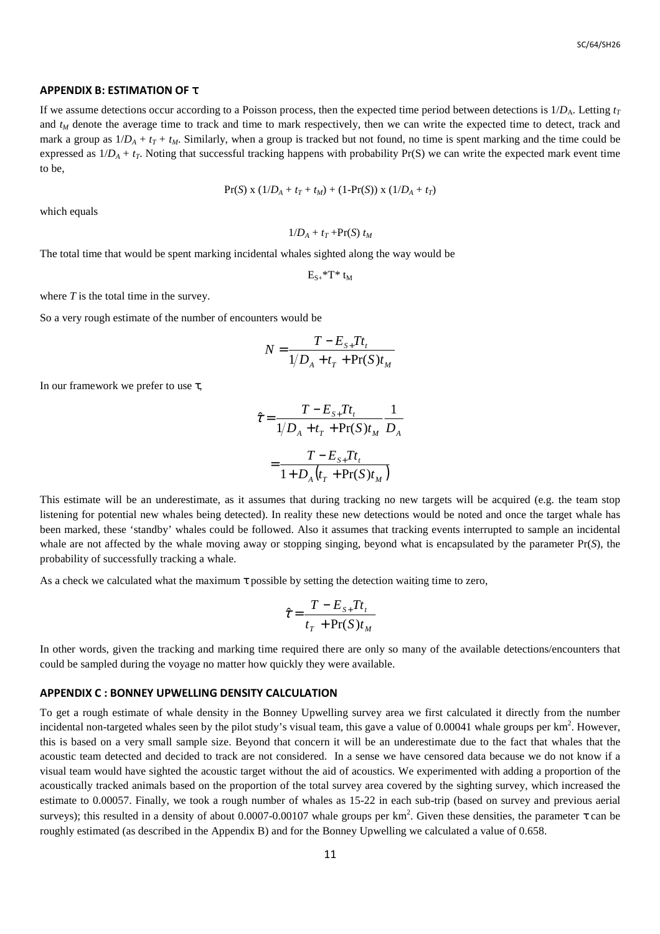#### **APPENDIX B: ESTIMATION OF** τ

If we assume detections occur according to a Poisson process, then the expected time period between detections is  $1/D_A$ . Letting  $t_T$ and  $t<sub>M</sub>$  denote the average time to track and time to mark respectively, then we can write the expected time to detect, track and mark a group as  $1/D_A + t_T + t_M$ . Similarly, when a group is tracked but not found, no time is spent marking and the time could be expressed as  $1/D_A + t_T$ . Noting that successful tracking happens with probability Pr(S) we can write the expected mark event time to be,

$$
Pr(S) \times (1/D_A + t_T + t_M) + (1-Pr(S)) \times (1/D_A + t_T)
$$

which equals

$$
1/D_A + t_T + Pr(S) t_M
$$

The total time that would be spent marking incidental whales sighted along the way would be

 $E_{S+}$ \*T\* t<sub>M</sub>

where *T* is the total time in the survey.

So a very rough estimate of the number of encounters would be

$$
N = \frac{T - E_{S+}Tt_t}{1/D_A + t_T + \Pr(S)t_M}
$$

In our framework we prefer to use  $\tau$ ,

$$
\hat{\tau} = \frac{T - E_{S+} T t_t}{1/D_A + t_T + \Pr(S) t_M} \frac{1}{D_A}
$$

$$
= \frac{T - E_{S+} T t_t}{1 + D_A (t_T + \Pr(S) t_M)}
$$

This estimate will be an underestimate, as it assumes that during tracking no new targets will be acquired (e.g. the team stop listening for potential new whales being detected). In reality these new detections would be noted and once the target whale has been marked, these 'standby' whales could be followed. Also it assumes that tracking events interrupted to sample an incidental whale are not affected by the whale moving away or stopping singing, beyond what is encapsulated by the parameter Pr(*S*), the probability of successfully tracking a whale.

As a check we calculated what the maximum τ possible by setting the detection waiting time to zero,

$$
\hat{\tau} = \frac{T - E_{s+} T t_t}{t_T + \Pr(S) t_M}
$$

In other words, given the tracking and marking time required there are only so many of the available detections/encounters that could be sampled during the voyage no matter how quickly they were available.

#### **APPENDIX C : BONNEY UPWELLING DENSITY CALCULATION**

To get a rough estimate of whale density in the Bonney Upwelling survey area we first calculated it directly from the number incidental non-targeted whales seen by the pilot study's visual team, this gave a value of 0.00041 whale groups per  $km^2$ . However, this is based on a very small sample size. Beyond that concern it will be an underestimate due to the fact that whales that the acoustic team detected and decided to track are not considered. In a sense we have censored data because we do not know if a visual team would have sighted the acoustic target without the aid of acoustics. We experimented with adding a proportion of the acoustically tracked animals based on the proportion of the total survey area covered by the sighting survey, which increased the estimate to 0.00057. Finally, we took a rough number of whales as 15-22 in each sub-trip (based on survey and previous aerial surveys); this resulted in a density of about 0.0007-0.00107 whale groups per km<sup>2</sup>. Given these densities, the parameter  $\tau$  can be roughly estimated (as described in the Appendix B) and for the Bonney Upwelling we calculated a value of 0.658.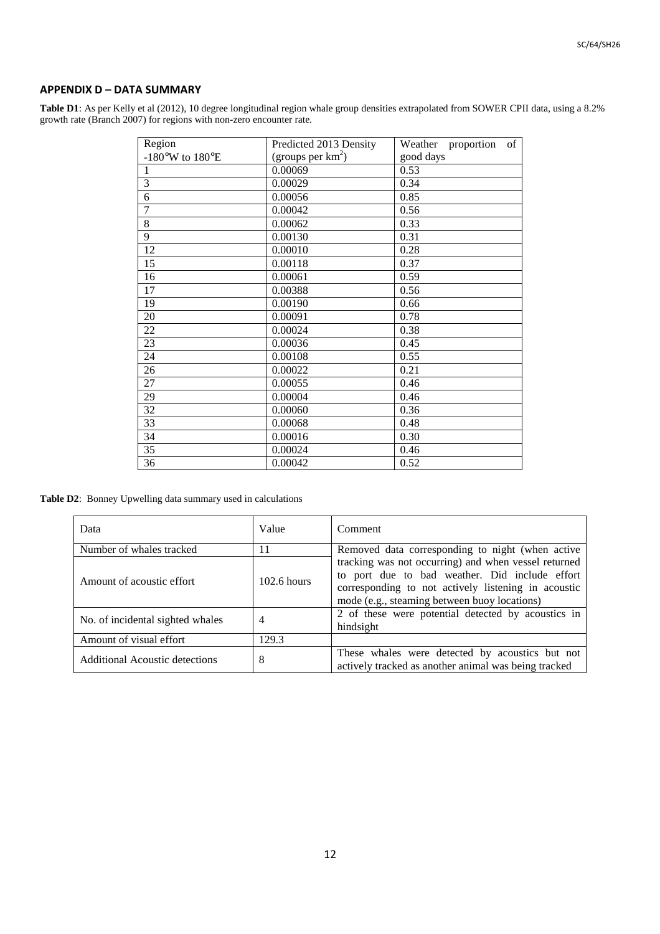## **APPENDIX D – DATA SUMMARY**

**Table D1**: As per Kelly et al (2012), 10 degree longitudinal region whale group densities extrapolated from SOWER CPII data, using a 8.2% growth rate (Branch 2007) for regions with non-zero encounter rate.

| Region          | Predicted 2013 Density | Weather proportion of |
|-----------------|------------------------|-----------------------|
| -180°W to 180°E | (groups per $km^2$ )   | good days             |
| $\mathbf{1}$    | 0.00069                | 0.53                  |
| $\overline{3}$  | 0.00029                | 0.34                  |
| 6               | 0.00056                | 0.85                  |
| $\overline{7}$  | 0.00042                | 0.56                  |
| 8               | 0.00062                | 0.33                  |
| 9               | 0.00130                | 0.31                  |
| 12              | 0.00010                | 0.28                  |
| 15              | 0.00118                | 0.37                  |
| 16              | 0.00061                | 0.59                  |
| 17              | 0.00388                | 0.56                  |
| 19              | 0.00190                | 0.66                  |
| 20              | 0.00091                | 0.78                  |
| 22              | 0.00024                | 0.38                  |
| 23              | 0.00036                | 0.45                  |
| 24              | 0.00108                | 0.55                  |
| 26              | 0.00022                | 0.21                  |
| 27              | 0.00055                | 0.46                  |
| 29              | 0.00004                | 0.46                  |
| 32              | 0.00060                | 0.36                  |
| 33              | 0.00068                | 0.48                  |
| 34              | 0.00016                | 0.30                  |
| 35              | 0.00024                | 0.46                  |
| 36              | 0.00042                | 0.52                  |

**Table D2**: Bonney Upwelling data summary used in calculations

| Data                                  | Value         | Comment                                                                                                                                                                                                       |
|---------------------------------------|---------------|---------------------------------------------------------------------------------------------------------------------------------------------------------------------------------------------------------------|
| Number of whales tracked              | 11            | Removed data corresponding to night (when active                                                                                                                                                              |
| Amount of acoustic effort             | $102.6$ hours | tracking was not occurring) and when vessel returned<br>to port due to bad weather. Did include effort<br>corresponding to not actively listening in acoustic<br>mode (e.g., steaming between buoy locations) |
| No. of incidental sighted whales      | 4             | 2 of these were potential detected by acoustics in<br>hindsight                                                                                                                                               |
| Amount of visual effort               | 129.3         |                                                                                                                                                                                                               |
| <b>Additional Acoustic detections</b> | 8             | These whales were detected by acoustics but not<br>actively tracked as another animal was being tracked                                                                                                       |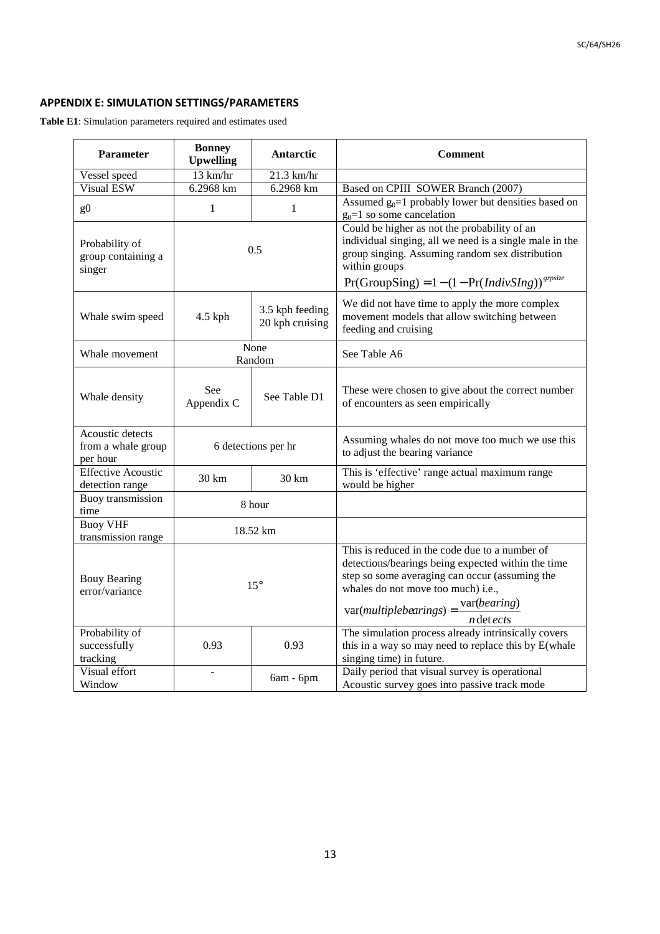# **APPENDIX E: SIMULATION SETTINGS/PARAMETERS**

**Table E1**: Simulation parameters required and estimates used

| <b>Parameter</b>                                   | <b>Bonney</b><br><b>Upwelling</b> | Antarctic                          | <b>Comment</b>                                                                                                                                                                                                                                                        |
|----------------------------------------------------|-----------------------------------|------------------------------------|-----------------------------------------------------------------------------------------------------------------------------------------------------------------------------------------------------------------------------------------------------------------------|
| Vessel speed                                       | 13 km/hr                          | 21.3 km/hr                         |                                                                                                                                                                                                                                                                       |
| <b>Visual ESW</b>                                  | 6.2968 km                         | 6.2968 km                          | Based on CPIII SOWER Branch (2007)                                                                                                                                                                                                                                    |
| g <sub>0</sub>                                     | $\mathbf{1}$                      | 1                                  | Assumed $g_0=1$ probably lower but densities based on<br>$g_0=1$ so some cancelation                                                                                                                                                                                  |
| Probability of<br>group containing a<br>singer     | 0.5                               |                                    | Could be higher as not the probability of an<br>individual singing, all we need is a single male in the<br>group singing. Assuming random sex distribution<br>within groups<br>$Pr(GroupSing) = 1 - (1 - Pr(IndivSing))^{sprsize}$                                    |
| Whale swim speed                                   | 4.5 kph                           | 3.5 kph feeding<br>20 kph cruising | We did not have time to apply the more complex<br>movement models that allow switching between<br>feeding and cruising                                                                                                                                                |
| Whale movement                                     | None<br>Random                    |                                    | See Table A6                                                                                                                                                                                                                                                          |
| Whale density                                      | See<br>Appendix C                 | See Table D1                       | These were chosen to give about the correct number<br>of encounters as seen empirically                                                                                                                                                                               |
| Acoustic detects<br>from a whale group<br>per hour | 6 detections per hr               |                                    | Assuming whales do not move too much we use this<br>to adjust the bearing variance                                                                                                                                                                                    |
| <b>Effective Acoustic</b><br>detection range       | $30 \text{ km}$                   | $30 \text{ km}$                    | This is 'effective' range actual maximum range<br>would be higher                                                                                                                                                                                                     |
| <b>Buoy</b> transmission<br>time                   | 8 hour                            |                                    |                                                                                                                                                                                                                                                                       |
| <b>Buoy VHF</b><br>transmission range              | 18.52 km                          |                                    |                                                                                                                                                                                                                                                                       |
| <b>Bouy Bearing</b><br>error/variance              | $15^{\circ}$                      |                                    | This is reduced in the code due to a number of<br>detections/bearings being expected within the time<br>step so some averaging can occur (assuming the<br>whales do not move too much) i.e.,<br>var(bearing)<br>$var(multiplebearings) =$<br><i>n</i> det <i>ects</i> |
| Probability of<br>successfully<br>tracking         | 0.93                              | 0.93                               | The simulation process already intrinsically covers<br>this in a way so may need to replace this by E(whale<br>singing time) in future.                                                                                                                               |
| Visual effort<br>Window                            | $\overline{a}$                    | 6am - 6pm                          | Daily period that visual survey is operational<br>Acoustic survey goes into passive track mode                                                                                                                                                                        |